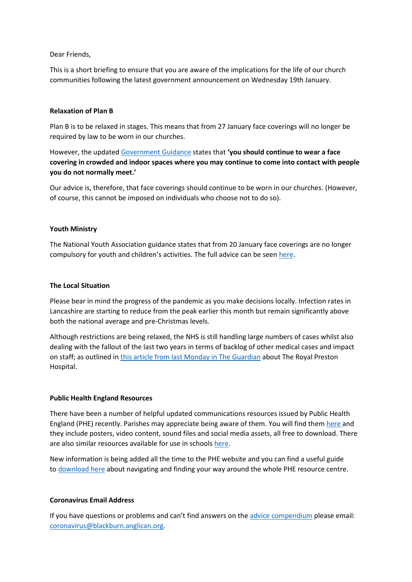## Dear Friends,

This is a short briefing to ensure that you are aware of the implications for the life of our church communities following the latest government announcement on Wednesday 19th January.

## **Relaxation of Plan B**

Plan B is to be relaxed in stages. This means that from 27 January face coverings will no longer be required by law to be worn in our churches.

However, the updated [Government Guidance](https://www.gov.uk/coronavirus) states that **'you should continue to wear a face covering in crowded and indoor spaces where you may continue to come into contact with people you do not normally meet.'** 

Our advice is, therefore, that face coverings should continue to be worn in our churches. (However, of course, this cannot be imposed on individuals who choose not to do so).

### **Youth Ministry**

The National Youth Association guidance states that from 20 January face coverings are no longer compulsory for youth and children's activities. The full advice can be seen [here.](https://nya.org.uk/guidance/)

#### **The Local Situation**

Please bear in mind the progress of the pandemic as you make decisions locally. Infection rates in Lancashire are starting to reduce from the peak earlier this month but remain significantly above both the national average and pre-Christmas levels.

Although restrictions are being relaxed, the NHS is still handling large numbers of cases whilst also dealing with the fallout of the last two years in terms of backlog of other medical cases and impact on staff; as outlined in [this article from last Monday in The Guardian](https://www.theguardian.com/world/2022/jan/17/christmas-was-awful-on-the-omicron-frontline-at-the-royal-preston-hospital?CMP=Share_iOSApp_Other) about The Royal Preston Hospital.

# **Public Health England Resources**

There have been a number of helpful updated communications resources issued by Public Health England (PHE) recently. Parishes may appreciate being aware of them. You will find them [here](https://coronavirusresources.phe.gov.uk/covid-19-vaccine/resources/) and they include posters, video content, sound files and social media assets, all free to download. There are also similar resources available for use in schools [here.](https://coronavirusresources.phe.gov.uk/schools/resources/)

New information is being added all the time to the PHE website and you can find a useful guide to [download here](https://coronavirusresources.phe.gov.uk/campaign-resource-centre-user-guide/resources/user-guide/) about navigating and finding your way around the whole PHE resource centre.

#### **Coronavirus Email Address**

If you have questions or problems and can't find answers on the [advice compendium](https://www.blackburn.anglican.org/coronavirus-compendium-of-advice-and-res) please email: [coronavirus@blackburn.anglican.org.](mailto:coronavirus@blackburn.anglican.org)